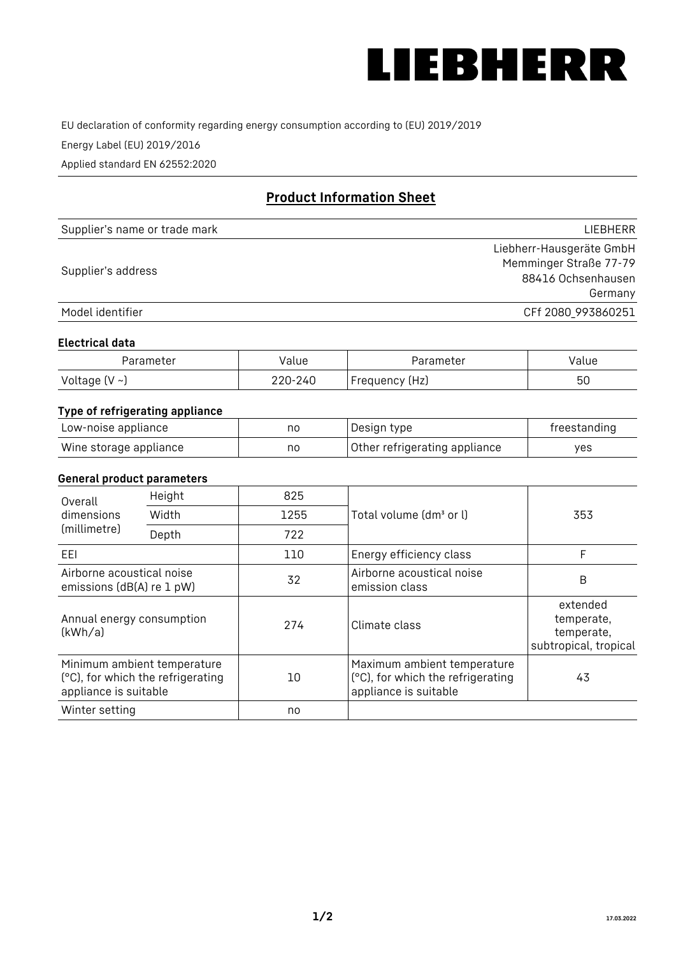

EU declaration of conformity regarding energy consumption according to (EU) 2019/2019

Energy Label (EU) 2019/2016

Applied standard EN 62552:2020

# **Product Information Sheet**

| Supplier's name or trade mark | <b>LIFBHFRR</b>          |
|-------------------------------|--------------------------|
|                               | Liebherr-Hausgeräte GmbH |
| Supplier's address            | Memminger Straße 77-79   |
|                               | 88416 Ochsenhausen       |
|                               | Germany                  |
| Model identifier              | CFf 2080_993860251       |

#### **Electrical data**

| Parameter           | Value   | Parameter      | Value |
|---------------------|---------|----------------|-------|
| Voltage (V $\sim$ ) | 220-240 | Frequency (Hz) | 50    |

## **Type of refrigerating appliance**

| Low-noise appliance    | nc | Design type                   | freestanding |
|------------------------|----|-------------------------------|--------------|
| Wine storage appliance | nc | Other refrigerating appliance | ves          |

#### **General product parameters**

| Height<br>Overall                                      |                                                                  | 825  |                                                                                           |                                                               |
|--------------------------------------------------------|------------------------------------------------------------------|------|-------------------------------------------------------------------------------------------|---------------------------------------------------------------|
| dimensions<br>(millimetre)                             | Width                                                            | 1255 | Total volume (dm <sup>3</sup> or l)                                                       | 353                                                           |
|                                                        | Depth                                                            | 722  |                                                                                           |                                                               |
| EEL                                                    |                                                                  | 110  | Energy efficiency class                                                                   | F                                                             |
| Airborne acoustical noise<br>emissions (dB(A) re 1 pW) |                                                                  | 32   | Airborne acoustical noise<br>emission class                                               | B                                                             |
| Annual energy consumption<br>(kWh/a)                   |                                                                  | 274  | Climate class                                                                             | extended<br>temperate,<br>temperate,<br>subtropical, tropical |
| appliance is suitable                                  | Minimum ambient temperature<br>(°C), for which the refrigerating | 10   | Maximum ambient temperature<br>(°C), for which the refrigerating<br>appliance is suitable | 43                                                            |
| Winter setting                                         |                                                                  | no   |                                                                                           |                                                               |